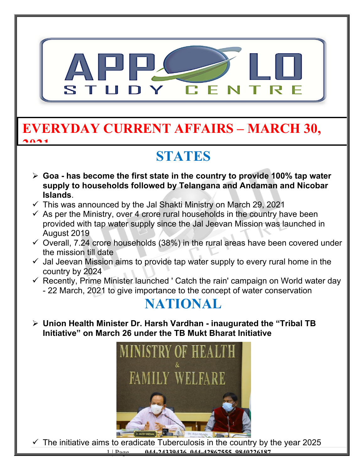

#### **EVERYDAY CURRENT AFFAIRS – MARCH 30, 2021**

# **STATES**

- **Goa has become the first state in the country to provide 100% tap water supply to households followed by Telangana and Andaman and Nicobar Islands**.
- $\checkmark$  This was announced by the Jal Shakti Ministry on March 29, 2021
- $\checkmark$  As per the Ministry, over 4 crore rural households in the country have been provided with tap water supply since the Jal Jeevan Mission was launched in August 2019
- $\checkmark$  Overall, 7.24 crore households (38%) in the rural areas have been covered under the mission till date
- $\checkmark$  Jal Jeevan Mission aims to provide tap water supply to every rural home in the country by 2024
- $\checkmark$  Recently, Prime Minister launched ' Catch the rain' campaign on World water day - 22 March, 2021 to give importance to the concept of water conservation

### **NATIONAL**

 **Union Health Minister Dr. Harsh Vardhan - inaugurated the "Tribal TB Initiative" on March 26 under the TB Mukt Bharat Initiative** 



1 | Page **044-24339436, 044-42867555, 9840226187**  $\checkmark$  The initiative aims to eradicate Tuberculosis in the country by the year 2025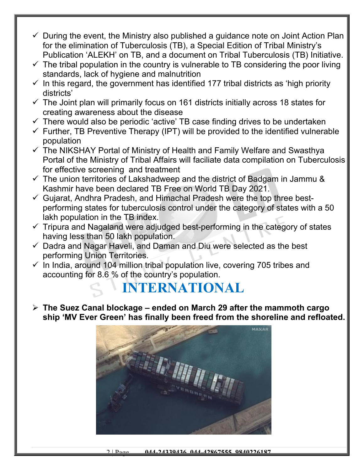- $\checkmark$  During the event, the Ministry also published a guidance note on Joint Action Plan for the elimination of Tuberculosis (TB), a Special Edition of Tribal Ministry's Publication 'ALEKH' on TB, and a document on Tribal Tuberculosis (TB) Initiative.
- $\checkmark$  The tribal population in the country is vulnerable to TB considering the poor living standards, lack of hygiene and malnutrition
- $\checkmark$  In this regard, the government has identified 177 tribal districts as 'high priority districts'
- $\checkmark$  The Joint plan will primarily focus on 161 districts initially across 18 states for creating awareness about the disease
- $\checkmark$  There would also be periodic 'active' TB case finding drives to be undertaken
- $\checkmark$  Further, TB Preventive Therapy (IPT) will be provided to the identified vulnerable population
- $\checkmark$  The NIKSHAY Portal of Ministry of Health and Family Welfare and Swasthya Portal of the Ministry of Tribal Affairs will faciliate data compilation on Tuberculosis for effective screening and treatment
- $\checkmark$  The union territories of Lakshadweep and the district of Badgam in Jammu & Kashmir have been declared TB Free on World TB Day 2021.
- $\checkmark$  Gujarat, Andhra Pradesh, and Himachal Pradesh were the top three bestperforming states for tuberculosis control under the category of states with a 50 lakh population in the TB index.
- $\checkmark$  Tripura and Nagaland were adjudged best-performing in the category of states having less than 50 lakh population.
- $\checkmark$  Dadra and Nagar Haveli, and Daman and Diu were selected as the best performing Union Territories.
- $\checkmark$  In India, around 104 million tribal population live, covering 705 tribes and accounting for 8.6 % of the country's population.

## **INTERNATIONAL**

 **The Suez Canal blockage – ended on March 29 after the mammoth cargo ship 'MV Ever Green' has finally been freed from the shoreline and refloated.**

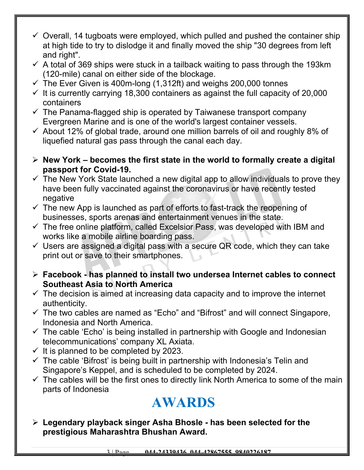- $\checkmark$  Overall, 14 tugboats were employed, which pulled and pushed the container ship at high tide to try to dislodge it and finally moved the ship "30 degrees from left and right".
- $\checkmark$  A total of 369 ships were stuck in a tailback waiting to pass through the 193km (120-mile) canal on either side of the blockage.
- $\checkmark$  The Ever Given is 400m-long (1,312ft) and weighs 200,000 tonnes
- $\checkmark$  It is currently carrying 18,300 containers as against the full capacity of 20,000 containers
- $\checkmark$  The Panama-flagged ship is operated by Taiwanese transport company Evergreen Marine and is one of the world's largest container vessels.
- $\checkmark$  About 12% of global trade, around one million barrels of oil and roughly 8% of liquefied natural gas pass through the canal each day.
- **New York becomes the first state in the world to formally create a digital passport for Covid-19.**
- $\checkmark$  The New York State launched a new digital app to allow individuals to prove they have been fully vaccinated against the coronavirus or have recently tested negative
- $\checkmark$  The new App is launched as part of efforts to fast-track the reopening of businesses, sports arenas and entertainment venues in the state.
- $\checkmark$  The free online platform, called Excelsior Pass, was developed with IBM and works like a mobile airline boarding pass.
- $\checkmark$  Users are assigned a digital pass with a secure QR code, which they can take print out or save to their smartphones.
- **Facebook has planned to install two undersea Internet cables to connect Southeast Asia to North America**
- $\checkmark$  The decision is aimed at increasing data capacity and to improve the internet authenticity.
- $\checkmark$  The two cables are named as "Echo" and "Bifrost" and will connect Singapore, Indonesia and North America.
- $\checkmark$  The cable 'Echo' is being installed in partnership with Google and Indonesian telecommunications' company XL Axiata.
- $\checkmark$  It is planned to be completed by 2023.
- $\checkmark$  The cable 'Bifrost' is being built in partnership with Indonesia's Telin and Singapore's Keppel, and is scheduled to be completed by 2024.
- $\checkmark$  The cables will be the first ones to directly link North America to some of the main parts of Indonesia

## **AWARDS**

 **Legendary playback singer Asha Bhosle - has been selected for the prestigious Maharashtra Bhushan Award.**